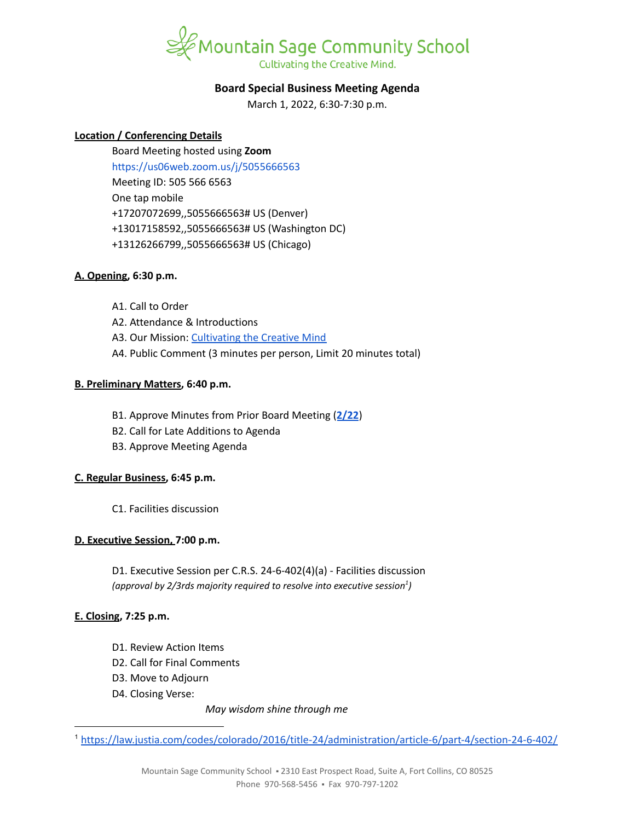

# **Board Special Business Meeting Agenda**

March 1, 2022, 6:30-7:30 p.m.

## **Location / Conferencing Details**

Board Meeting hosted using **Zoom** <https://us06web.zoom.us/j/5055666563> Meeting ID: 505 566 6563 One tap mobile +17207072699,,5055666563# US (Denver) +13017158592,,5055666563# US (Washington DC) +13126266799,,5055666563# US (Chicago)

## **A. Opening, 6:30 p.m.**

- A1. Call to Order
- A2. Attendance & Introductions
- A3. Our Mission: [Cultivating](https://www.mountainsage.org/about-us/mission-and-vision/) the Creative Mind
- A4. Public Comment (3 minutes per person, Limit 20 minutes total)

## **B. Preliminary Matters, 6:40 p.m.**

- B1. Approve Minutes from Prior Board Meeting (**[2/22](https://docs.google.com/document/d/1rfAGnOBoqByk3tkuzAbO38TiVOhuLlBwmeAiUNGpUfI/edit?usp=sharing)**)
- B2. Call for Late Additions to Agenda
- B3. Approve Meeting Agenda

## **C. Regular Business, 6:45 p.m.**

C1. Facilities discussion

## **D. Executive Session, 7:00 p.m.**

D1. Executive Session per C.R.S. 24-6-402(4)(a) - Facilities discussion *(approval by 2/3rds majority required to resolve into executive session ) 1*

## **E. Closing, 7:25 p.m.**

- D1. Review Action Items
- D2. Call for Final Comments
- D3. Move to Adjourn
- D4. Closing Verse:

*May wisdom shine through me*

<sup>1</sup> <https://law.justia.com/codes/colorado/2016/title-24/administration/article-6/part-4/section-24-6-402/>